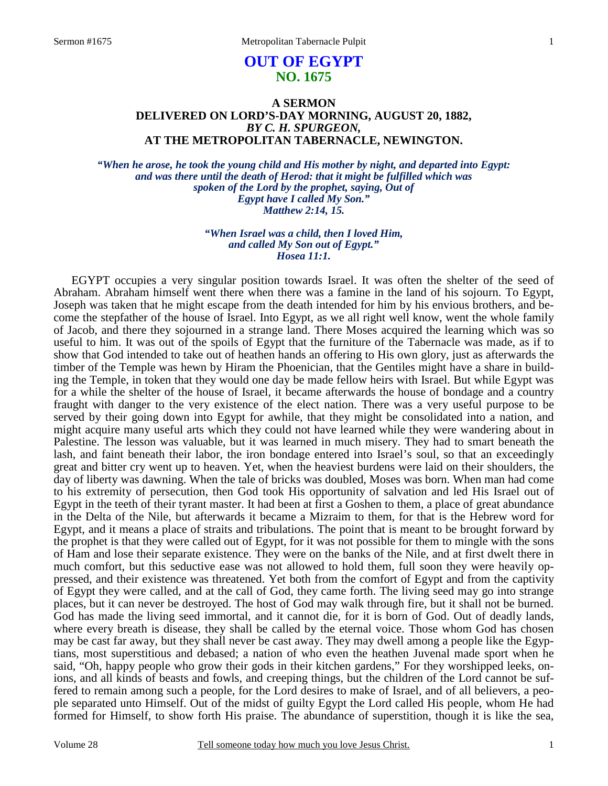# **OUT OF EGYPT NO. 1675**

# **A SERMON DELIVERED ON LORD'S-DAY MORNING, AUGUST 20, 1882,**  *BY C. H. SPURGEON,*  **AT THE METROPOLITAN TABERNACLE, NEWINGTON.**

*"When he arose, he took the young child and His mother by night, and departed into Egypt: and was there until the death of Herod: that it might be fulfilled which was spoken of the Lord by the prophet, saying, Out of Egypt have I called My Son." Matthew 2:14, 15.* 

### *"When Israel was a child, then I loved Him, and called My Son out of Egypt." Hosea 11:1.*

EGYPT occupies a very singular position towards Israel. It was often the shelter of the seed of Abraham. Abraham himself went there when there was a famine in the land of his sojourn. To Egypt, Joseph was taken that he might escape from the death intended for him by his envious brothers, and become the stepfather of the house of Israel. Into Egypt, as we all right well know, went the whole family of Jacob, and there they sojourned in a strange land. There Moses acquired the learning which was so useful to him. It was out of the spoils of Egypt that the furniture of the Tabernacle was made, as if to show that God intended to take out of heathen hands an offering to His own glory, just as afterwards the timber of the Temple was hewn by Hiram the Phoenician, that the Gentiles might have a share in building the Temple, in token that they would one day be made fellow heirs with Israel. But while Egypt was for a while the shelter of the house of Israel, it became afterwards the house of bondage and a country fraught with danger to the very existence of the elect nation. There was a very useful purpose to be served by their going down into Egypt for awhile, that they might be consolidated into a nation, and might acquire many useful arts which they could not have learned while they were wandering about in Palestine. The lesson was valuable, but it was learned in much misery. They had to smart beneath the lash, and faint beneath their labor, the iron bondage entered into Israel's soul, so that an exceedingly great and bitter cry went up to heaven. Yet, when the heaviest burdens were laid on their shoulders, the day of liberty was dawning. When the tale of bricks was doubled, Moses was born. When man had come to his extremity of persecution, then God took His opportunity of salvation and led His Israel out of Egypt in the teeth of their tyrant master. It had been at first a Goshen to them, a place of great abundance in the Delta of the Nile, but afterwards it became a Mizraim to them, for that is the Hebrew word for Egypt, and it means a place of straits and tribulations. The point that is meant to be brought forward by the prophet is that they were called out of Egypt, for it was not possible for them to mingle with the sons of Ham and lose their separate existence. They were on the banks of the Nile, and at first dwelt there in much comfort, but this seductive ease was not allowed to hold them, full soon they were heavily oppressed, and their existence was threatened. Yet both from the comfort of Egypt and from the captivity of Egypt they were called, and at the call of God, they came forth. The living seed may go into strange places, but it can never be destroyed. The host of God may walk through fire, but it shall not be burned. God has made the living seed immortal, and it cannot die, for it is born of God. Out of deadly lands, where every breath is disease, they shall be called by the eternal voice. Those whom God has chosen may be cast far away, but they shall never be cast away. They may dwell among a people like the Egyptians, most superstitious and debased; a nation of who even the heathen Juvenal made sport when he said, "Oh, happy people who grow their gods in their kitchen gardens," For they worshipped leeks, onions, and all kinds of beasts and fowls, and creeping things, but the children of the Lord cannot be suffered to remain among such a people, for the Lord desires to make of Israel, and of all believers, a people separated unto Himself. Out of the midst of guilty Egypt the Lord called His people, whom He had formed for Himself, to show forth His praise. The abundance of superstition, though it is like the sea,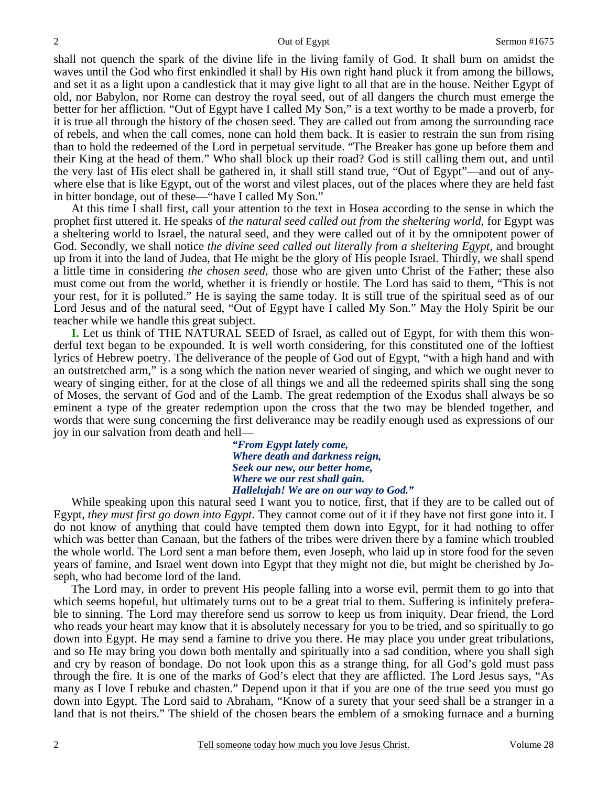shall not quench the spark of the divine life in the living family of God. It shall burn on amidst the waves until the God who first enkindled it shall by His own right hand pluck it from among the billows, and set it as a light upon a candlestick that it may give light to all that are in the house. Neither Egypt of old, nor Babylon, nor Rome can destroy the royal seed, out of all dangers the church must emerge the better for her affliction. "Out of Egypt have I called My Son," is a text worthy to be made a proverb, for it is true all through the history of the chosen seed. They are called out from among the surrounding race of rebels, and when the call comes, none can hold them back. It is easier to restrain the sun from rising than to hold the redeemed of the Lord in perpetual servitude. "The Breaker has gone up before them and their King at the head of them." Who shall block up their road? God is still calling them out, and until the very last of His elect shall be gathered in, it shall still stand true, "Out of Egypt"—and out of anywhere else that is like Egypt, out of the worst and vilest places, out of the places where they are held fast in bitter bondage, out of these—"have I called My Son."

 At this time I shall first, call your attention to the text in Hosea according to the sense in which the prophet first uttered it. He speaks of *the natural seed called out from the sheltering world,* for Egypt was a sheltering world to Israel, the natural seed, and they were called out of it by the omnipotent power of God. Secondly, we shall notice *the divine seed called out literally from a sheltering Egypt,* and brought up from it into the land of Judea, that He might be the glory of His people Israel. Thirdly, we shall spend a little time in considering *the chosen seed,* those who are given unto Christ of the Father; these also must come out from the world, whether it is friendly or hostile. The Lord has said to them, "This is not your rest, for it is polluted." He is saying the same today. It is still true of the spiritual seed as of our Lord Jesus and of the natural seed, "Out of Egypt have I called My Son." May the Holy Spirit be our teacher while we handle this great subject.

**I.** Let us think of THE NATURAL SEED of Israel, as called out of Egypt, for with them this wonderful text began to be expounded. It is well worth considering, for this constituted one of the loftiest lyrics of Hebrew poetry. The deliverance of the people of God out of Egypt, "with a high hand and with an outstretched arm," is a song which the nation never wearied of singing, and which we ought never to weary of singing either, for at the close of all things we and all the redeemed spirits shall sing the song of Moses, the servant of God and of the Lamb. The great redemption of the Exodus shall always be so eminent a type of the greater redemption upon the cross that the two may be blended together, and words that were sung concerning the first deliverance may be readily enough used as expressions of our joy in our salvation from death and hell—

> *"From Egypt lately come, Where death and darkness reign, Seek our new, our better home, Where we our rest shall gain. Hallelujah! We are on our way to God."*

While speaking upon this natural seed I want you to notice, first, that if they are to be called out of Egypt, *they must first go down into Egypt*. They cannot come out of it if they have not first gone into it. I do not know of anything that could have tempted them down into Egypt, for it had nothing to offer which was better than Canaan, but the fathers of the tribes were driven there by a famine which troubled the whole world. The Lord sent a man before them, even Joseph, who laid up in store food for the seven years of famine, and Israel went down into Egypt that they might not die, but might be cherished by Joseph, who had become lord of the land.

 The Lord may, in order to prevent His people falling into a worse evil, permit them to go into that which seems hopeful, but ultimately turns out to be a great trial to them. Suffering is infinitely preferable to sinning. The Lord may therefore send us sorrow to keep us from iniquity. Dear friend, the Lord who reads your heart may know that it is absolutely necessary for you to be tried, and so spiritually to go down into Egypt. He may send a famine to drive you there. He may place you under great tribulations, and so He may bring you down both mentally and spiritually into a sad condition, where you shall sigh and cry by reason of bondage. Do not look upon this as a strange thing, for all God's gold must pass through the fire. It is one of the marks of God's elect that they are afflicted. The Lord Jesus says, "As many as I love I rebuke and chasten." Depend upon it that if you are one of the true seed you must go down into Egypt. The Lord said to Abraham, "Know of a surety that your seed shall be a stranger in a land that is not theirs." The shield of the chosen bears the emblem of a smoking furnace and a burning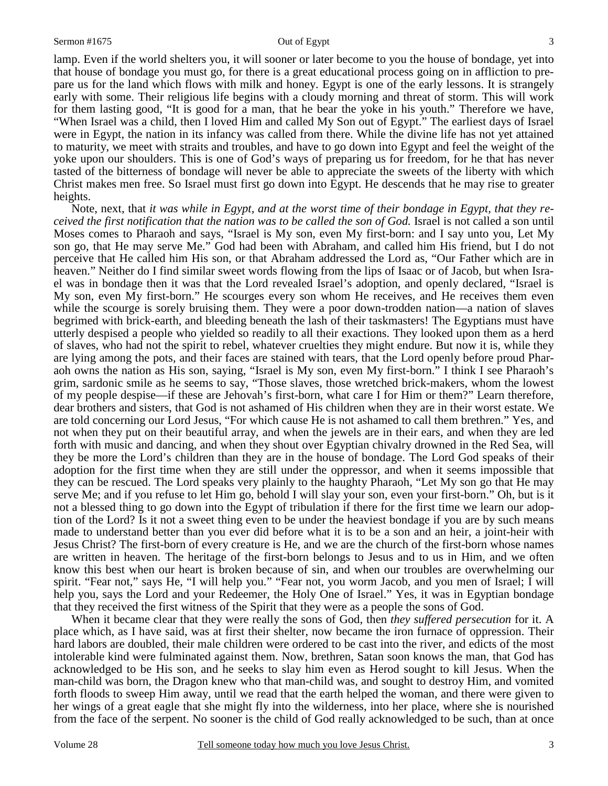lamp. Even if the world shelters you, it will sooner or later become to you the house of bondage, yet into that house of bondage you must go, for there is a great educational process going on in affliction to prepare us for the land which flows with milk and honey. Egypt is one of the early lessons. It is strangely early with some. Their religious life begins with a cloudy morning and threat of storm. This will work for them lasting good, "It is good for a man, that he bear the yoke in his youth." Therefore we have, "When Israel was a child, then I loved Him and called My Son out of Egypt." The earliest days of Israel were in Egypt, the nation in its infancy was called from there. While the divine life has not yet attained to maturity, we meet with straits and troubles, and have to go down into Egypt and feel the weight of the yoke upon our shoulders. This is one of God's ways of preparing us for freedom, for he that has never tasted of the bitterness of bondage will never be able to appreciate the sweets of the liberty with which Christ makes men free. So Israel must first go down into Egypt. He descends that he may rise to greater heights.

 Note, next, that *it was while in Egypt, and at the worst time of their bondage in Egypt, that they received the first notification that the nation was to be called the son of God.* Israel is not called a son until Moses comes to Pharaoh and says, "Israel is My son, even My first-born: and I say unto you, Let My son go, that He may serve Me." God had been with Abraham, and called him His friend, but I do not perceive that He called him His son, or that Abraham addressed the Lord as, "Our Father which are in heaven." Neither do I find similar sweet words flowing from the lips of Isaac or of Jacob, but when Israel was in bondage then it was that the Lord revealed Israel's adoption, and openly declared, "Israel is My son, even My first-born." He scourges every son whom He receives, and He receives them even while the scourge is sorely bruising them. They were a poor down-trodden nation—a nation of slaves begrimed with brick-earth, and bleeding beneath the lash of their taskmasters! The Egyptians must have utterly despised a people who yielded so readily to all their exactions. They looked upon them as a herd of slaves, who had not the spirit to rebel, whatever cruelties they might endure. But now it is, while they are lying among the pots, and their faces are stained with tears, that the Lord openly before proud Pharaoh owns the nation as His son, saying, "Israel is My son, even My first-born." I think I see Pharaoh's grim, sardonic smile as he seems to say, "Those slaves, those wretched brick-makers, whom the lowest of my people despise—if these are Jehovah's first-born, what care I for Him or them?" Learn therefore, dear brothers and sisters, that God is not ashamed of His children when they are in their worst estate. We are told concerning our Lord Jesus, "For which cause He is not ashamed to call them brethren." Yes, and not when they put on their beautiful array, and when the jewels are in their ears, and when they are led forth with music and dancing, and when they shout over Egyptian chivalry drowned in the Red Sea, will they be more the Lord's children than they are in the house of bondage. The Lord God speaks of their adoption for the first time when they are still under the oppressor, and when it seems impossible that they can be rescued. The Lord speaks very plainly to the haughty Pharaoh, "Let My son go that He may serve Me; and if you refuse to let Him go, behold I will slay your son, even your first-born." Oh, but is it not a blessed thing to go down into the Egypt of tribulation if there for the first time we learn our adoption of the Lord? Is it not a sweet thing even to be under the heaviest bondage if you are by such means made to understand better than you ever did before what it is to be a son and an heir, a joint-heir with Jesus Christ? The first-born of every creature is He, and we are the church of the first-born whose names are written in heaven. The heritage of the first-born belongs to Jesus and to us in Him, and we often know this best when our heart is broken because of sin, and when our troubles are overwhelming our spirit. "Fear not," says He, "I will help you." "Fear not, you worm Jacob, and you men of Israel; I will help you, says the Lord and your Redeemer, the Holy One of Israel." Yes, it was in Egyptian bondage that they received the first witness of the Spirit that they were as a people the sons of God.

 When it became clear that they were really the sons of God, then *they suffered persecution* for it. A place which, as I have said, was at first their shelter, now became the iron furnace of oppression. Their hard labors are doubled, their male children were ordered to be cast into the river, and edicts of the most intolerable kind were fulminated against them. Now, brethren, Satan soon knows the man, that God has acknowledged to be His son, and he seeks to slay him even as Herod sought to kill Jesus. When the man-child was born, the Dragon knew who that man-child was, and sought to destroy Him, and vomited forth floods to sweep Him away, until we read that the earth helped the woman, and there were given to her wings of a great eagle that she might fly into the wilderness, into her place, where she is nourished from the face of the serpent. No sooner is the child of God really acknowledged to be such, than at once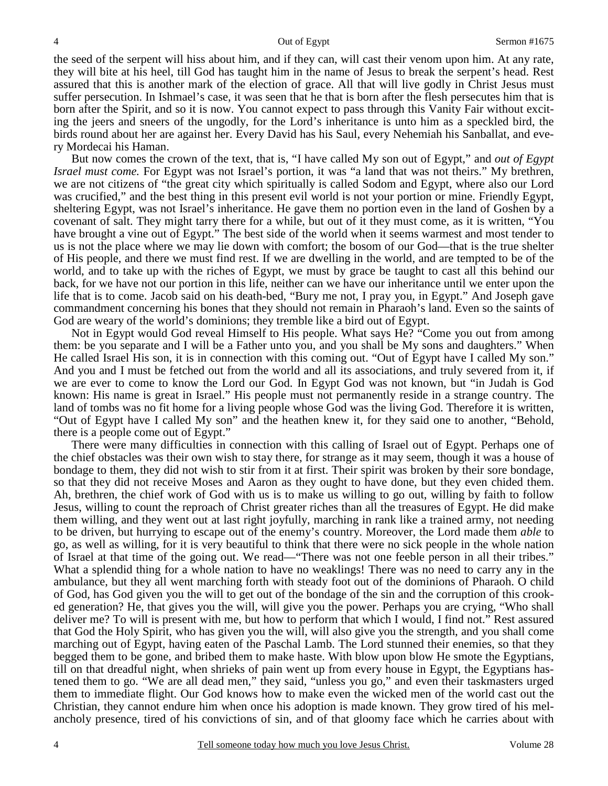the seed of the serpent will hiss about him, and if they can, will cast their venom upon him. At any rate, they will bite at his heel, till God has taught him in the name of Jesus to break the serpent's head. Rest assured that this is another mark of the election of grace. All that will live godly in Christ Jesus must suffer persecution. In Ishmael's case, it was seen that he that is born after the flesh persecutes him that is born after the Spirit, and so it is now. You cannot expect to pass through this Vanity Fair without exciting the jeers and sneers of the ungodly, for the Lord's inheritance is unto him as a speckled bird, the birds round about her are against her. Every David has his Saul, every Nehemiah his Sanballat, and every Mordecai his Haman.

 But now comes the crown of the text, that is, "I have called My son out of Egypt," and *out of Egypt Israel must come.* For Egypt was not Israel's portion, it was "a land that was not theirs." My brethren, we are not citizens of "the great city which spiritually is called Sodom and Egypt, where also our Lord was crucified," and the best thing in this present evil world is not your portion or mine. Friendly Egypt, sheltering Egypt, was not Israel's inheritance. He gave them no portion even in the land of Goshen by a covenant of salt. They might tarry there for a while, but out of it they must come, as it is written, "You have brought a vine out of Egypt." The best side of the world when it seems warmest and most tender to us is not the place where we may lie down with comfort; the bosom of our God—that is the true shelter of His people, and there we must find rest. If we are dwelling in the world, and are tempted to be of the world, and to take up with the riches of Egypt, we must by grace be taught to cast all this behind our back, for we have not our portion in this life, neither can we have our inheritance until we enter upon the life that is to come. Jacob said on his death-bed, "Bury me not, I pray you, in Egypt." And Joseph gave commandment concerning his bones that they should not remain in Pharaoh's land. Even so the saints of God are weary of the world's dominions; they tremble like a bird out of Egypt.

 Not in Egypt would God reveal Himself to His people. What says He? "Come you out from among them: be you separate and I will be a Father unto you, and you shall be My sons and daughters." When He called Israel His son, it is in connection with this coming out. "Out of Egypt have I called My son." And you and I must be fetched out from the world and all its associations, and truly severed from it, if we are ever to come to know the Lord our God. In Egypt God was not known, but "in Judah is God known: His name is great in Israel." His people must not permanently reside in a strange country. The land of tombs was no fit home for a living people whose God was the living God. Therefore it is written, "Out of Egypt have I called My son" and the heathen knew it, for they said one to another, "Behold, there is a people come out of Egypt."

 There were many difficulties in connection with this calling of Israel out of Egypt. Perhaps one of the chief obstacles was their own wish to stay there, for strange as it may seem, though it was a house of bondage to them, they did not wish to stir from it at first. Their spirit was broken by their sore bondage, so that they did not receive Moses and Aaron as they ought to have done, but they even chided them. Ah, brethren, the chief work of God with us is to make us willing to go out, willing by faith to follow Jesus, willing to count the reproach of Christ greater riches than all the treasures of Egypt. He did make them willing, and they went out at last right joyfully, marching in rank like a trained army, not needing to be driven, but hurrying to escape out of the enemy's country. Moreover, the Lord made them *able* to go, as well as willing, for it is very beautiful to think that there were no sick people in the whole nation of Israel at that time of the going out. We read—"There was not one feeble person in all their tribes." What a splendid thing for a whole nation to have no weaklings! There was no need to carry any in the ambulance, but they all went marching forth with steady foot out of the dominions of Pharaoh. O child of God, has God given you the will to get out of the bondage of the sin and the corruption of this crooked generation? He, that gives you the will, will give you the power. Perhaps you are crying, "Who shall deliver me? To will is present with me, but how to perform that which I would, I find not." Rest assured that God the Holy Spirit, who has given you the will, will also give you the strength, and you shall come marching out of Egypt, having eaten of the Paschal Lamb. The Lord stunned their enemies, so that they begged them to be gone, and bribed them to make haste. With blow upon blow He smote the Egyptians, till on that dreadful night, when shrieks of pain went up from every house in Egypt, the Egyptians hastened them to go. "We are all dead men," they said, "unless you go," and even their taskmasters urged them to immediate flight. Our God knows how to make even the wicked men of the world cast out the Christian, they cannot endure him when once his adoption is made known. They grow tired of his melancholy presence, tired of his convictions of sin, and of that gloomy face which he carries about with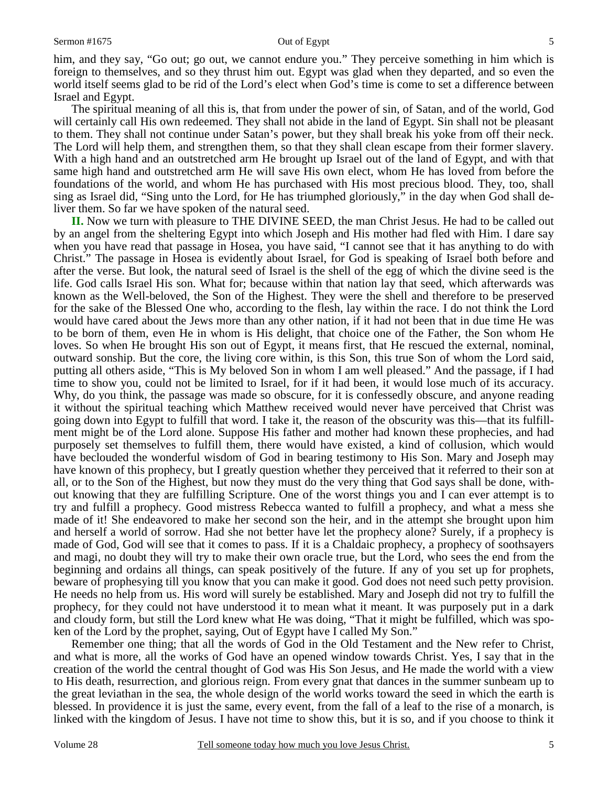him, and they say, "Go out; go out, we cannot endure you." They perceive something in him which is foreign to themselves, and so they thrust him out. Egypt was glad when they departed, and so even the world itself seems glad to be rid of the Lord's elect when God's time is come to set a difference between Israel and Egypt.

 The spiritual meaning of all this is, that from under the power of sin, of Satan, and of the world, God will certainly call His own redeemed. They shall not abide in the land of Egypt. Sin shall not be pleasant to them. They shall not continue under Satan's power, but they shall break his yoke from off their neck. The Lord will help them, and strengthen them, so that they shall clean escape from their former slavery. With a high hand and an outstretched arm He brought up Israel out of the land of Egypt, and with that same high hand and outstretched arm He will save His own elect, whom He has loved from before the foundations of the world, and whom He has purchased with His most precious blood. They, too, shall sing as Israel did, "Sing unto the Lord, for He has triumphed gloriously," in the day when God shall deliver them. So far we have spoken of the natural seed.

**II.** Now we turn with pleasure to THE DIVINE SEED, the man Christ Jesus. He had to be called out by an angel from the sheltering Egypt into which Joseph and His mother had fled with Him. I dare say when you have read that passage in Hosea, you have said, "I cannot see that it has anything to do with Christ." The passage in Hosea is evidently about Israel, for God is speaking of Israel both before and after the verse. But look, the natural seed of Israel is the shell of the egg of which the divine seed is the life. God calls Israel His son. What for; because within that nation lay that seed, which afterwards was known as the Well-beloved, the Son of the Highest. They were the shell and therefore to be preserved for the sake of the Blessed One who, according to the flesh, lay within the race. I do not think the Lord would have cared about the Jews more than any other nation, if it had not been that in due time He was to be born of them, even He in whom is His delight, that choice one of the Father, the Son whom He loves. So when He brought His son out of Egypt, it means first, that He rescued the external, nominal, outward sonship. But the core, the living core within, is this Son, this true Son of whom the Lord said, putting all others aside, "This is My beloved Son in whom I am well pleased." And the passage, if I had time to show you, could not be limited to Israel, for if it had been, it would lose much of its accuracy. Why, do you think, the passage was made so obscure, for it is confessedly obscure, and anyone reading it without the spiritual teaching which Matthew received would never have perceived that Christ was going down into Egypt to fulfill that word. I take it, the reason of the obscurity was this—that its fulfillment might be of the Lord alone. Suppose His father and mother had known these prophecies, and had purposely set themselves to fulfill them, there would have existed, a kind of collusion, which would have beclouded the wonderful wisdom of God in bearing testimony to His Son. Mary and Joseph may have known of this prophecy, but I greatly question whether they perceived that it referred to their son at all, or to the Son of the Highest, but now they must do the very thing that God says shall be done, without knowing that they are fulfilling Scripture. One of the worst things you and I can ever attempt is to try and fulfill a prophecy. Good mistress Rebecca wanted to fulfill a prophecy, and what a mess she made of it! She endeavored to make her second son the heir, and in the attempt she brought upon him and herself a world of sorrow. Had she not better have let the prophecy alone? Surely, if a prophecy is made of God, God will see that it comes to pass. If it is a Chaldaic prophecy, a prophecy of soothsayers and magi, no doubt they will try to make their own oracle true, but the Lord, who sees the end from the beginning and ordains all things, can speak positively of the future. If any of you set up for prophets, beware of prophesying till you know that you can make it good. God does not need such petty provision. He needs no help from us. His word will surely be established. Mary and Joseph did not try to fulfill the prophecy, for they could not have understood it to mean what it meant. It was purposely put in a dark and cloudy form, but still the Lord knew what He was doing, "That it might be fulfilled, which was spoken of the Lord by the prophet, saying, Out of Egypt have I called My Son."

 Remember one thing; that all the words of God in the Old Testament and the New refer to Christ, and what is more, all the works of God have an opened window towards Christ. Yes, I say that in the creation of the world the central thought of God was His Son Jesus, and He made the world with a view to His death, resurrection, and glorious reign. From every gnat that dances in the summer sunbeam up to the great leviathan in the sea, the whole design of the world works toward the seed in which the earth is blessed. In providence it is just the same, every event, from the fall of a leaf to the rise of a monarch, is linked with the kingdom of Jesus. I have not time to show this, but it is so, and if you choose to think it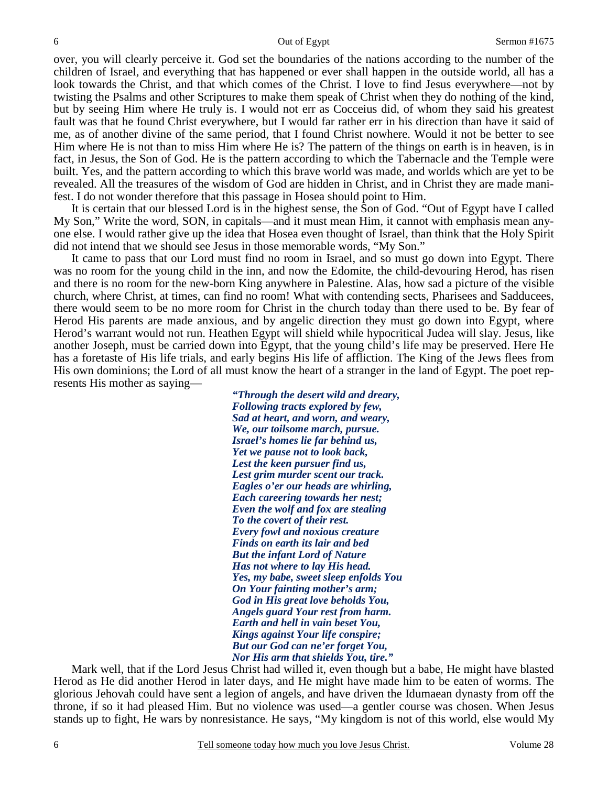over, you will clearly perceive it. God set the boundaries of the nations according to the number of the children of Israel, and everything that has happened or ever shall happen in the outside world, all has a look towards the Christ, and that which comes of the Christ. I love to find Jesus everywhere—not by twisting the Psalms and other Scriptures to make them speak of Christ when they do nothing of the kind, but by seeing Him where He truly is. I would not err as Cocceius did, of whom they said his greatest fault was that he found Christ everywhere, but I would far rather err in his direction than have it said of me, as of another divine of the same period, that I found Christ nowhere. Would it not be better to see Him where He is not than to miss Him where He is? The pattern of the things on earth is in heaven, is in fact, in Jesus, the Son of God. He is the pattern according to which the Tabernacle and the Temple were built. Yes, and the pattern according to which this brave world was made, and worlds which are yet to be revealed. All the treasures of the wisdom of God are hidden in Christ, and in Christ they are made manifest. I do not wonder therefore that this passage in Hosea should point to Him.

 It is certain that our blessed Lord is in the highest sense, the Son of God. "Out of Egypt have I called My Son," Write the word, SON, in capitals—and it must mean Him, it cannot with emphasis mean anyone else. I would rather give up the idea that Hosea even thought of Israel, than think that the Holy Spirit did not intend that we should see Jesus in those memorable words, "My Son."

 It came to pass that our Lord must find no room in Israel, and so must go down into Egypt. There was no room for the young child in the inn, and now the Edomite, the child-devouring Herod, has risen and there is no room for the new-born King anywhere in Palestine. Alas, how sad a picture of the visible church, where Christ, at times, can find no room! What with contending sects, Pharisees and Sadducees, there would seem to be no more room for Christ in the church today than there used to be. By fear of Herod His parents are made anxious, and by angelic direction they must go down into Egypt, where Herod's warrant would not run. Heathen Egypt will shield while hypocritical Judea will slay. Jesus, like another Joseph, must be carried down into Egypt, that the young child's life may be preserved. Here He has a foretaste of His life trials, and early begins His life of affliction. The King of the Jews flees from His own dominions; the Lord of all must know the heart of a stranger in the land of Egypt. The poet represents His mother as saying—

> *"Through the desert wild and dreary, Following tracts explored by few, Sad at heart, and worn, and weary, We, our toilsome march, pursue. Israel's homes lie far behind us, Yet we pause not to look back, Lest the keen pursuer find us, Lest grim murder scent our track. Eagles o'er our heads are whirling, Each careering towards her nest; Even the wolf and fox are stealing To the covert of their rest. Every fowl and noxious creature Finds on earth its lair and bed But the infant Lord of Nature Has not where to lay His head. Yes, my babe, sweet sleep enfolds You On Your fainting mother's arm; God in His great love beholds You, Angels guard Your rest from harm. Earth and hell in vain beset You, Kings against Your life conspire; But our God can ne'er forget You, Nor His arm that shields You, tire."*

Mark well, that if the Lord Jesus Christ had willed it, even though but a babe, He might have blasted Herod as He did another Herod in later days, and He might have made him to be eaten of worms. The glorious Jehovah could have sent a legion of angels, and have driven the Idumaean dynasty from off the throne, if so it had pleased Him. But no violence was used—a gentler course was chosen. When Jesus stands up to fight, He wars by nonresistance. He says, "My kingdom is not of this world, else would My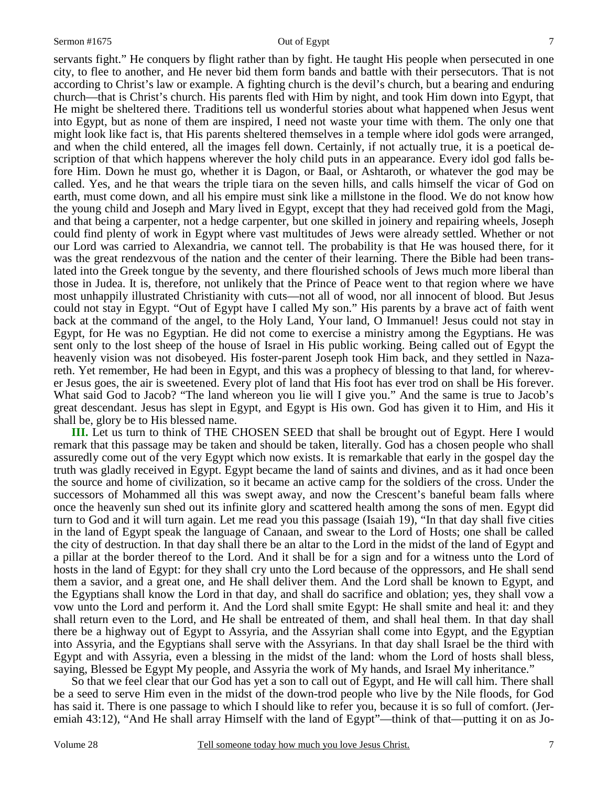servants fight." He conquers by flight rather than by fight. He taught His people when persecuted in one city, to flee to another, and He never bid them form bands and battle with their persecutors. That is not according to Christ's law or example. A fighting church is the devil's church, but a bearing and enduring church—that is Christ's church. His parents fled with Him by night, and took Him down into Egypt, that He might be sheltered there. Traditions tell us wonderful stories about what happened when Jesus went into Egypt, but as none of them are inspired, I need not waste your time with them. The only one that might look like fact is, that His parents sheltered themselves in a temple where idol gods were arranged, and when the child entered, all the images fell down. Certainly, if not actually true, it is a poetical description of that which happens wherever the holy child puts in an appearance. Every idol god falls before Him. Down he must go, whether it is Dagon, or Baal, or Ashtaroth, or whatever the god may be called. Yes, and he that wears the triple tiara on the seven hills, and calls himself the vicar of God on earth, must come down, and all his empire must sink like a millstone in the flood. We do not know how the young child and Joseph and Mary lived in Egypt, except that they had received gold from the Magi, and that being a carpenter, not a hedge carpenter, but one skilled in joinery and repairing wheels, Joseph could find plenty of work in Egypt where vast multitudes of Jews were already settled. Whether or not our Lord was carried to Alexandria, we cannot tell. The probability is that He was housed there, for it was the great rendezvous of the nation and the center of their learning. There the Bible had been translated into the Greek tongue by the seventy, and there flourished schools of Jews much more liberal than those in Judea. It is, therefore, not unlikely that the Prince of Peace went to that region where we have most unhappily illustrated Christianity with cuts—not all of wood, nor all innocent of blood. But Jesus could not stay in Egypt. "Out of Egypt have I called My son." His parents by a brave act of faith went back at the command of the angel, to the Holy Land, Your land, O Immanuel! Jesus could not stay in Egypt, for He was no Egyptian. He did not come to exercise a ministry among the Egyptians. He was sent only to the lost sheep of the house of Israel in His public working. Being called out of Egypt the heavenly vision was not disobeyed. His foster-parent Joseph took Him back, and they settled in Nazareth. Yet remember, He had been in Egypt, and this was a prophecy of blessing to that land, for wherever Jesus goes, the air is sweetened. Every plot of land that His foot has ever trod on shall be His forever. What said God to Jacob? "The land whereon you lie will I give you." And the same is true to Jacob's great descendant. Jesus has slept in Egypt, and Egypt is His own. God has given it to Him, and His it shall be, glory be to His blessed name.

**III.** Let us turn to think of THE CHOSEN SEED that shall be brought out of Egypt. Here I would remark that this passage may be taken and should be taken, literally. God has a chosen people who shall assuredly come out of the very Egypt which now exists. It is remarkable that early in the gospel day the truth was gladly received in Egypt. Egypt became the land of saints and divines, and as it had once been the source and home of civilization, so it became an active camp for the soldiers of the cross. Under the successors of Mohammed all this was swept away, and now the Crescent's baneful beam falls where once the heavenly sun shed out its infinite glory and scattered health among the sons of men. Egypt did turn to God and it will turn again. Let me read you this passage (Isaiah 19), "In that day shall five cities in the land of Egypt speak the language of Canaan, and swear to the Lord of Hosts; one shall be called the city of destruction. In that day shall there be an altar to the Lord in the midst of the land of Egypt and a pillar at the border thereof to the Lord. And it shall be for a sign and for a witness unto the Lord of hosts in the land of Egypt: for they shall cry unto the Lord because of the oppressors, and He shall send them a savior, and a great one, and He shall deliver them. And the Lord shall be known to Egypt, and the Egyptians shall know the Lord in that day, and shall do sacrifice and oblation; yes, they shall vow a vow unto the Lord and perform it. And the Lord shall smite Egypt: He shall smite and heal it: and they shall return even to the Lord, and He shall be entreated of them, and shall heal them. In that day shall there be a highway out of Egypt to Assyria, and the Assyrian shall come into Egypt, and the Egyptian into Assyria, and the Egyptians shall serve with the Assyrians. In that day shall Israel be the third with Egypt and with Assyria, even a blessing in the midst of the land: whom the Lord of hosts shall bless, saying, Blessed be Egypt My people, and Assyria the work of My hands, and Israel My inheritance."

 So that we feel clear that our God has yet a son to call out of Egypt, and He will call him. There shall be a seed to serve Him even in the midst of the down-trod people who live by the Nile floods, for God has said it. There is one passage to which I should like to refer you, because it is so full of comfort. (Jeremiah 43:12), "And He shall array Himself with the land of Egypt"—think of that—putting it on as Jo